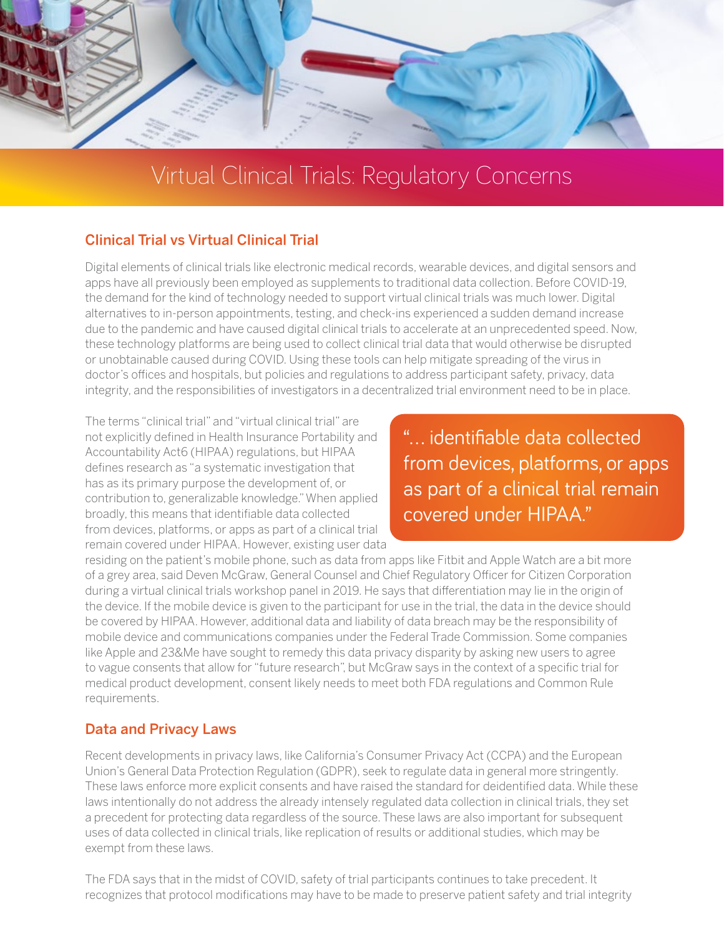

# Virtual Clinical Trials: Regulatory Concerns

## Clinical Trial vs Virtual Clinical Trial

Digital elements of clinical trials like electronic medical records, wearable devices, and digital sensors and apps have all previously been employed as supplements to traditional data collection. Before COVID-19, the demand for the kind of technology needed to support virtual clinical trials was much lower. Digital alternatives to in-person appointments, testing, and check-ins experienced a sudden demand increase due to the pandemic and have caused digital clinical trials to accelerate at an unprecedented speed. Now, these technology platforms are being used to collect clinical trial data that would otherwise be disrupted or unobtainable caused during COVID. Using these tools can help mitigate spreading of the virus in doctor's offices and hospitals, but policies and regulations to address participant safety, privacy, data integrity, and the responsibilities of investigators in a decentralized trial environment need to be in place.

The terms "clinical trial" and "virtual clinical trial" are not explicitly defined in Health Insurance Portability and Accountability Act6 (HIPAA) regulations, but HIPAA defines research as "a systematic investigation that has as its primary purpose the development of, or contribution to, generalizable knowledge." When applied broadly, this means that identifiable data collected from devices, platforms, or apps as part of a clinical trial remain covered under HIPAA. However, existing user data

"... identifiable data collected from devices, platforms, or apps as part of a clinical trial remain covered under HIPAA."

residing on the patient's mobile phone, such as data from apps like Fitbit and Apple Watch are a bit more of a grey area, said Deven McGraw, General Counsel and Chief Regulatory Officer for Citizen Corporation during a virtual clinical trials workshop panel in 2019. He says that differentiation may lie in the origin of the device. If the mobile device is given to the participant for use in the trial, the data in the device should be covered by HIPAA. However, additional data and liability of data breach may be the responsibility of mobile device and communications companies under the Federal Trade Commission. Some companies like Apple and 23&Me have sought to remedy this data privacy disparity by asking new users to agree to vague consents that allow for "future research", but McGraw says in the context of a specific trial for medical product development, consent likely needs to meet both FDA regulations and Common Rule requirements.

## Data and Privacy Laws

Recent developments in privacy laws, like California's Consumer Privacy Act (CCPA) and the European Union's General Data Protection Regulation (GDPR), seek to regulate data in general more stringently. These laws enforce more explicit consents and have raised the standard for deidentified data. While these laws intentionally do not address the already intensely regulated data collection in clinical trials, they set a precedent for protecting data regardless of the source. These laws are also important for subsequent uses of data collected in clinical trials, like replication of results or additional studies, which may be exempt from these laws.

The FDA says that in the midst of COVID, safety of trial participants continues to take precedent. It recognizes that protocol modifications may have to be made to preserve patient safety and trial integrity